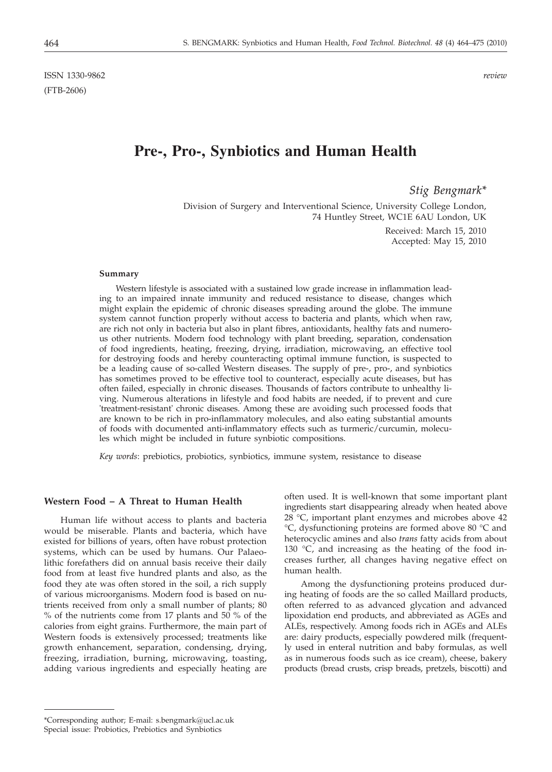ISSN 1330-9862 *review* (FTB-2606)

# **Pre-, Pro-, Synbiotics and Human Health**

*Stig Bengmark\**

Division of Surgery and Interventional Science, University College London, 74 Huntley Street, WC1E 6AU London, UK

> Received: March 15, 2010 Accepted: May 15, 2010

#### **Summary**

Western lifestyle is associated with a sustained low grade increase in inflammation leading to an impaired innate immunity and reduced resistance to disease, changes which might explain the epidemic of chronic diseases spreading around the globe. The immune system cannot function properly without access to bacteria and plants, which when raw, are rich not only in bacteria but also in plant fibres, antioxidants, healthy fats and numerous other nutrients. Modern food technology with plant breeding, separation, condensation of food ingredients, heating, freezing, drying, irradiation, microwaving, an effective tool for destroying foods and hereby counteracting optimal immune function, is suspected to be a leading cause of so-called Western diseases. The supply of pre-, pro-, and synbiotics has sometimes proved to be effective tool to counteract, especially acute diseases, but has often failed, especially in chronic diseases. Thousands of factors contribute to unhealthy living. Numerous alterations in lifestyle and food habits are needed, if to prevent and cure 'treatment-resistant' chronic diseases. Among these are avoiding such processed foods that are known to be rich in pro-inflammatory molecules, and also eating substantial amounts of foods with documented anti-inflammatory effects such as turmeric/curcumin, molecules which might be included in future synbiotic compositions.

*Key words*: prebiotics, probiotics, synbiotics, immune system, resistance to disease

## **Western Food – A Threat to Human Health**

Human life without access to plants and bacteria would be miserable. Plants and bacteria, which have existed for billions of years, often have robust protection systems, which can be used by humans. Our Palaeolithic forefathers did on annual basis receive their daily food from at least five hundred plants and also, as the food they ate was often stored in the soil, a rich supply of various microorganisms. Modern food is based on nutrients received from only a small number of plants; 80 % of the nutrients come from 17 plants and 50 % of the calories from eight grains. Furthermore, the main part of Western foods is extensively processed; treatments like growth enhancement, separation, condensing, drying, freezing, irradiation, burning, microwaving, toasting, adding various ingredients and especially heating are

often used. It is well-known that some important plant ingredients start disappearing already when heated above 28 °C, important plant enzymes and microbes above 42 °C, dysfunctioning proteins are formed above 80 °C and heterocyclic amines and also *trans* fatty acids from about 130 °C, and increasing as the heating of the food increases further, all changes having negative effect on human health.

Among the dysfunctioning proteins produced during heating of foods are the so called Maillard products, often referred to as advanced glycation and advanced lipoxidation end products, and abbreviated as AGEs and ALEs, respectively. Among foods rich in AGEs and ALEs are: dairy products, especially powdered milk (frequently used in enteral nutrition and baby formulas, as well as in numerous foods such as ice cream), cheese, bakery products (bread crusts, crisp breads, pretzels, biscotti) and

<sup>\*</sup>Corresponding author; E-mail: s.bengmark@ucl.ac.uk Special issue: Probiotics, Prebiotics and Synbiotics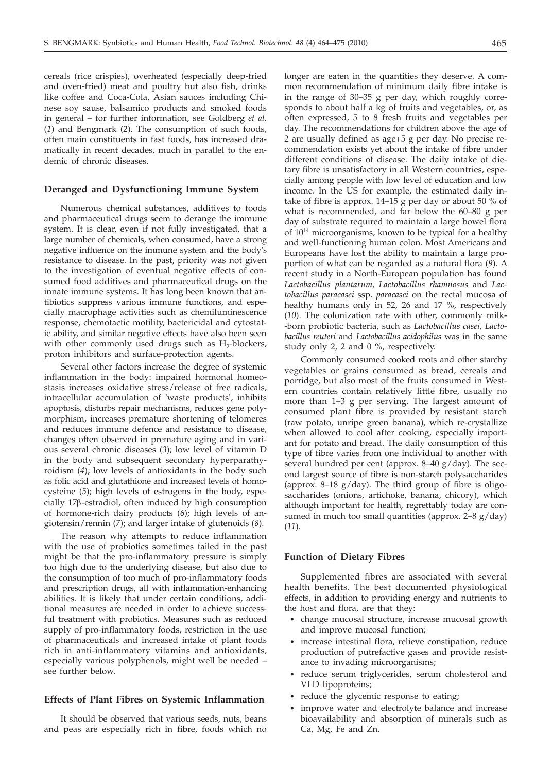cereals (rice crispies), overheated (especially deep-fried and oven-fried) meat and poultry but also fish, drinks like coffee and Coca-Cola, Asian sauces including Chinese soy sause, balsamico products and smoked foods in general – for further information, see Goldberg *et al.* (*1*) and Bengmark (*2*). The consumption of such foods, often main constituents in fast foods, has increased dramatically in recent decades, much in parallel to the endemic of chronic diseases.

## **Deranged and Dysfunctioning Immune System**

Numerous chemical substances, additives to foods and pharmaceutical drugs seem to derange the immune system. It is clear, even if not fully investigated, that a large number of chemicals, when consumed, have a strong negative influence on the immune system and the body's resistance to disease. In the past, priority was not given to the investigation of eventual negative effects of consumed food additives and pharmaceutical drugs on the innate immune systems. It has long been known that antibiotics suppress various immune functions, and especially macrophage activities such as chemiluminescence response, chemotactic motility, bactericidal and cytostatic ability, and similar negative effects have also been seen with other commonly used drugs such as  $H_2$ -blockers, proton inhibitors and surface-protection agents.

Several other factors increase the degree of systemic inflammation in the body: impaired hormonal homeostasis increases oxidative stress/release of free radicals, intracellular accumulation of 'waste products', inhibits apoptosis, disturbs repair mechanisms, reduces gene polymorphism, increases premature shortening of telomeres and reduces immune defence and resistance to disease, changes often observed in premature aging and in various several chronic diseases (*3*); low level of vitamin D in the body and subsequent secondary hyperparathyroidism (*4*); low levels of antioxidants in the body such as folic acid and glutathione and increased levels of homocysteine (*5*); high levels of estrogens in the body, especially 17b-estradiol, often induced by high consumption of hormone-rich dairy products (*6*); high levels of angiotensin/rennin (*7*); and larger intake of glutenoids (*8*).

The reason why attempts to reduce inflammation with the use of probiotics sometimes failed in the past might be that the pro-inflammatory pressure is simply too high due to the underlying disease, but also due to the consumption of too much of pro-inflammatory foods and prescription drugs, all with inflammation-enhancing abilities. It is likely that under certain conditions, additional measures are needed in order to achieve successful treatment with probiotics. Measures such as reduced supply of pro-inflammatory foods, restriction in the use of pharmaceuticals and increased intake of plant foods rich in anti-inflammatory vitamins and antioxidants, especially various polyphenols, might well be needed – see further below.

# **Effects of Plant Fibres on Systemic Inflammation**

It should be observed that various seeds, nuts, beans and peas are especially rich in fibre, foods which no

longer are eaten in the quantities they deserve. A common recommendation of minimum daily fibre intake is in the range of 30–35 g per day, which roughly corresponds to about half a kg of fruits and vegetables, or, as often expressed, 5 to 8 fresh fruits and vegetables per day. The recommendations for children above the age of 2 are usually defined as age+5 g per day. No precise recommendation exists yet about the intake of fibre under different conditions of disease. The daily intake of dietary fibre is unsatisfactory in all Western countries, especially among people with low level of education and low income. In the US for example, the estimated daily intake of fibre is approx.  $14-15$  g per day or about 50 % of what is recommended, and far below the 60–80 g per day of substrate required to maintain a large bowel flora of  $10^{14}$  microorganisms, known to be typical for a healthy and well-functioning human colon. Most Americans and Europeans have lost the ability to maintain a large proportion of what can be regarded as a natural flora (*9*). A recent study in a North-European population has found *Lactobacillus plantarum, Lactobacillus rhamnosus* and *Lactobacillus paracasei* ssp. *paracasei* on the rectal mucosa of healthy humans only in 52, 26 and 17 %, respectively (*10*). The colonization rate with other, commonly milk- -born probiotic bacteria, such as *Lactobacillus casei, Lactobacillus reuteri* and *Lactobacillus acidophilus* was in the same study only 2, 2 and 0 %, respectively.

Commonly consumed cooked roots and other starchy vegetables or grains consumed as bread, cereals and porridge, but also most of the fruits consumed in Western countries contain relatively little fibre, usually no more than 1–3 g per serving. The largest amount of consumed plant fibre is provided by resistant starch (raw potato, unripe green banana), which re-crystallize when allowed to cool after cooking, especially important for potato and bread. The daily consumption of this type of fibre varies from one individual to another with several hundred per cent (approx. 8-40 g/day). The second largest source of fibre is non-starch polysaccharides (approx. 8–18  $g/day$ ). The third group of fibre is oligosaccharides (onions, artichoke, banana, chicory), which although important for health, regrettably today are consumed in much too small quantities (approx. 2–8 g/day) (*11*).

## **Function of Dietary Fibres**

Supplemented fibres are associated with several health benefits. The best documented physiological effects, in addition to providing energy and nutrients to the host and flora, are that they:

- change mucosal structure, increase mucosal growth and improve mucosal function;
- increase intestinal flora, relieve constipation, reduce production of putrefactive gases and provide resistance to invading microorganisms;
- reduce serum triglycerides, serum cholesterol and VLD lipoproteins;
- reduce the glycemic response to eating;
- improve water and electrolyte balance and increase bioavailability and absorption of minerals such as Ca, Mg, Fe and Zn.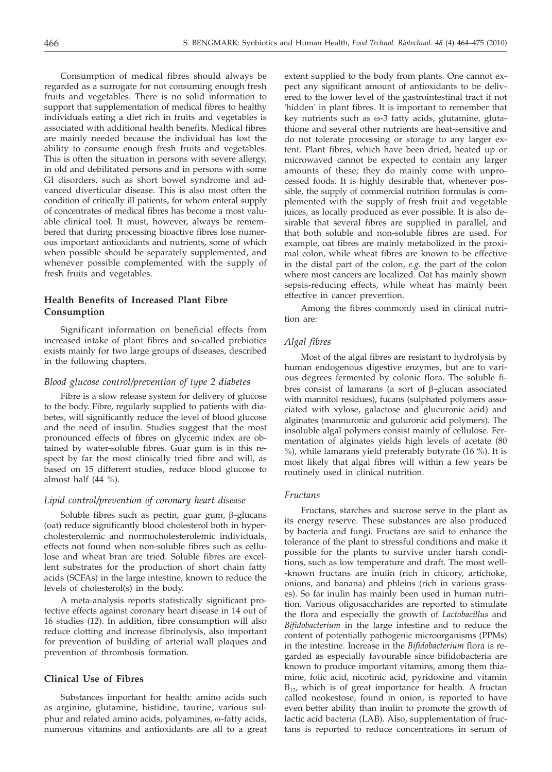Consumption of medical fibres should always be regarded as a surrogate for not consuming enough fresh fruits and vegetables. There is no solid information to support that supplementation of medical fibres to healthy individuals eating a diet rich in fruits and vegetables is associated with additional health benefits. Medical fibres are mainly needed because the individual has lost the ability to consume enough fresh fruits and vegetables. This is often the situation in persons with severe allergy, in old and debilitated persons and in persons with some GI disorders, such as short bowel syndrome and advanced diverticular disease. This is also most often the condition of critically ill patients, for whom enteral supply of concentrates of medical fibres has become a most valuable clinical tool. It must, however, always be remembered that during processing bioactive fibres lose numerous important antioxidants and nutrients, some of which when possible should be separately supplemented, and whenever possible complemented with the supply of fresh fruits and vegetables.

# **Health Benefits of Increased Plant Fibre Consumption**

Significant information on beneficial effects from increased intake of plant fibres and so-called prebiotics exists mainly for two large groups of diseases, described in the following chapters.

## *Blood glucose control/prevention of type 2 diabetes*

Fibre is a slow release system for delivery of glucose to the body. Fibre, regularly supplied to patients with diabetes, will significantly reduce the level of blood glucose and the need of insulin. Studies suggest that the most pronounced effects of fibres on glycemic index are obtained by water-soluble fibres. Guar gum is in this respect by far the most clinically tried fibre and will, as based on 15 different studies, reduce blood glucose to almost half (44 %).

## *Lipid control/prevention of coronary heart disease*

Soluble fibres such as pectin, guar gum,  $\beta$ -glucans (oat) reduce significantly blood cholesterol both in hypercholesterolemic and normocholesterolemic individuals, effects not found when non-soluble fibres such as cellulose and wheat bran are tried. Soluble fibres are excellent substrates for the production of short chain fatty acids (SCFAs) in the large intestine, known to reduce the levels of cholesterol(s) in the body.

A meta-analysis reports statistically significant protective effects against coronary heart disease in 14 out of 16 studies (*12*). In addition, fibre consumption will also reduce clotting and increase fibrinolysis, also important for prevention of building of arterial wall plaques and prevention of thrombosis formation.

# **Clinical Use of Fibres**

Substances important for health: amino acids such as arginine, glutamine, histidine, taurine, various sulphur and related amino acids, polyamines, ω-fatty acids, numerous vitamins and antioxidants are all to a great extent supplied to the body from plants. One cannot expect any significant amount of antioxidants to be delivered to the lower level of the gastrointestinal tract if not 'hidden' in plant fibres. It is important to remember that key nutrients such as  $\omega$ -3 fatty acids, glutamine, glutathione and several other nutrients are heat-sensitive and do not tolerate processing or storage to any larger extent. Plant fibres, which have been dried, heated up or microwaved cannot be expected to contain any larger amounts of these; they do mainly come with unprocessed foods. It is highly desirable that, whenever possible, the supply of commercial nutrition formulas is complemented with the supply of fresh fruit and vegetable juices, as locally produced as ever possible. It is also desirable that several fibres are supplied in parallel, and that both soluble and non-soluble fibres are used. For example, oat fibres are mainly metabolized in the proximal colon, while wheat fibres are known to be effective in the distal part of the colon, *e.g.* the part of the colon where most cancers are localized. Oat has mainly shown sepsis-reducing effects, while wheat has mainly been effective in cancer prevention.

Among the fibres commonly used in clinical nutrition are:

# *Algal fibres*

Most of the algal fibres are resistant to hydrolysis by human endogenous digestive enzymes, but are to various degrees fermented by colonic flora. The soluble fibres consist of lamarans (a sort of  $\beta$ -glucan associated with mannitol residues), fucans (sulphated polymers associated with xylose, galactose and glucuronic acid) and alginates (mannuronic and guluronic acid polymers). The insoluble algal polymers consist mainly of cellulose. Fermentation of alginates yields high levels of acetate (80 %), while lamarans yield preferably butyrate (16 %). It is most likely that algal fibres will within a few years be routinely used in clinical nutrition.

#### *Fructans*

Fructans, starches and sucrose serve in the plant as its energy reserve. These substances are also produced by bacteria and fungi. Fructans are said to enhance the tolerance of the plant to stressful conditions and make it possible for the plants to survive under harsh conditions, such as low temperature and draft. The most well- -known fructans are inulin (rich in chicory, artichoke, onions, and banana) and phleins (rich in various grasses). So far inulin has mainly been used in human nutrition. Various oligosaccharides are reported to stimulate the flora and especially the growth of *Lactobacillus* and *Bifidobacterium* in the large intestine and to reduce the content of potentially pathogenic microorganisms (PPMs) in the intestine. Increase in the *Bifidobacterium* flora is regarded as especially favourable since bifidobacteria are known to produce important vitamins, among them thiamine, folic acid, nicotinic acid, pyridoxine and vitamin  $B_{12}$ , which is of great importance for health. A fructan called neokestose, found in onion, is reported to have even better ability than inulin to promote the growth of lactic acid bacteria (LAB). Also, supplementation of fructans is reported to reduce concentrations in serum of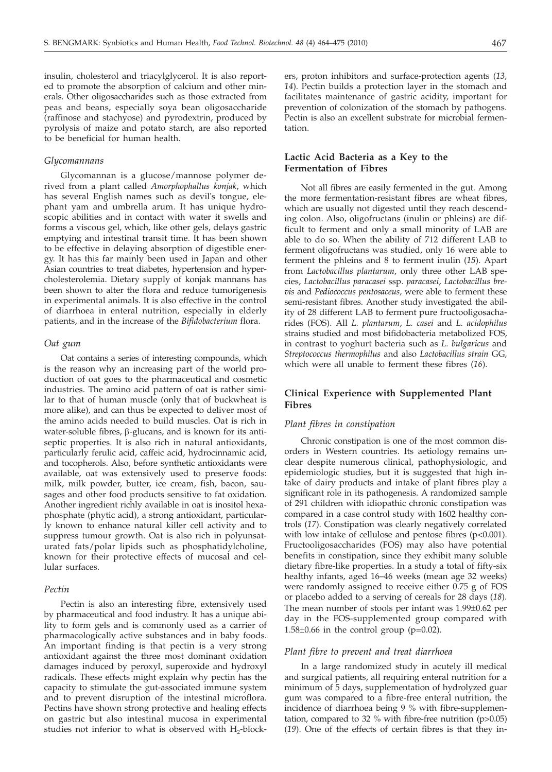insulin, cholesterol and triacylglycerol. It is also reported to promote the absorption of calcium and other minerals. Other oligosaccharides such as those extracted from peas and beans, especially soya bean oligosaccharide (raffinose and stachyose) and pyrodextrin, produced by pyrolysis of maize and potato starch, are also reported to be beneficial for human health.

### *Glycomannans*

Glycomannan is a glucose/mannose polymer derived from a plant called *Amorphophallus konjak*, which has several English names such as devil's tongue, elephant yam and umbrella arum. It has unique hydroscopic abilities and in contact with water it swells and forms a viscous gel, which, like other gels, delays gastric emptying and intestinal transit time. It has been shown to be effective in delaying absorption of digestible energy. It has this far mainly been used in Japan and other Asian countries to treat diabetes, hypertension and hypercholesterolemia. Dietary supply of konjak mannans has been shown to alter the flora and reduce tumorigenesis in experimental animals. It is also effective in the control of diarrhoea in enteral nutrition, especially in elderly patients, and in the increase of the *Bifidobacterium* flora.

#### *Oat gum*

Oat contains a series of interesting compounds, which is the reason why an increasing part of the world production of oat goes to the pharmaceutical and cosmetic industries. The amino acid pattern of oat is rather similar to that of human muscle (only that of buckwheat is more alike), and can thus be expected to deliver most of the amino acids needed to build muscles. Oat is rich in water-soluble fibres,  $\beta$ -glucans, and is known for its antiseptic properties. It is also rich in natural antioxidants, particularly ferulic acid, caffeic acid, hydrocinnamic acid, and tocopherols. Also, before synthetic antioxidants were available, oat was extensively used to preserve foods: milk, milk powder, butter, ice cream, fish, bacon, sausages and other food products sensitive to fat oxidation. Another ingredient richly available in oat is inositol hexaphosphate (phytic acid), a strong antioxidant, particularly known to enhance natural killer cell activity and to suppress tumour growth. Oat is also rich in polyunsaturated fats/polar lipids such as phosphatidylcholine, known for their protective effects of mucosal and cellular surfaces.

# *Pectin*

Pectin is also an interesting fibre, extensively used by pharmaceutical and food industry. It has a unique ability to form gels and is commonly used as a carrier of pharmacologically active substances and in baby foods. An important finding is that pectin is a very strong antioxidant against the three most dominant oxidation damages induced by peroxyl, superoxide and hydroxyl radicals. These effects might explain why pectin has the capacity to stimulate the gut-associated immune system and to prevent disruption of the intestinal microflora. Pectins have shown strong protective and healing effects on gastric but also intestinal mucosa in experimental studies not inferior to what is observed with  $H_2$ -blockers, proton inhibitors and surface-protection agents (*13, 14*). Pectin builds a protection layer in the stomach and facilitates maintenance of gastric acidity, important for prevention of colonization of the stomach by pathogens. Pectin is also an excellent substrate for microbial fermentation.

# **Lactic Acid Bacteria as a Key to the Fermentation of Fibres**

Not all fibres are easily fermented in the gut. Among the more fermentation-resistant fibres are wheat fibres, which are usually not digested until they reach descending colon. Also, oligofructans (inulin or phleins) are difficult to ferment and only a small minority of LAB are able to do so. When the ability of 712 different LAB to ferment oligofructans was studied, only 16 were able to ferment the phleins and 8 to ferment inulin (*15*). Apart from *Lactobacillus plantarum*, only three other LAB species, *Lactobacillus paracasei* ssp. *paracasei*, *Lactobacillus brevis* and *Pediococcus pentosaceus,* were able to ferment these semi-resistant fibres. Another study investigated the ability of 28 different LAB to ferment pure fructooligosacharides (FOS). All *L. plantarum*, *L. casei* and *L. acidophilus* strains studied and most bifidobacteria metabolized FOS, in contrast to yoghurt bacteria such as *L. bulgaricus* and *Streptococcus thermophilus* and also *Lactobacillus strain* GG*,* which were all unable to ferment these fibres (*16*).

# **Clinical Experience with Supplemented Plant Fibres**

# *Plant fibres in constipation*

Chronic constipation is one of the most common disorders in Western countries. Its aetiology remains unclear despite numerous clinical, pathophysiologic, and epidemiologic studies, but it is suggested that high intake of dairy products and intake of plant fibres play a significant role in its pathogenesis. A randomized sample of 291 children with idiopathic chronic constipation was compared in a case control study with 1602 healthy controls (*17*). Constipation was clearly negatively correlated with low intake of cellulose and pentose fibres  $(p<0.001)$ . Fructooligosaccharides (FOS) may also have potential benefits in constipation, since they exhibit many soluble dietary fibre-like properties. In a study a total of fifty-six healthy infants, aged 16–46 weeks (mean age 32 weeks) were randomly assigned to receive either 0.75 g of FOS or placebo added to a serving of cereals for 28 days (*18*). The mean number of stools per infant was 1.99±0.62 per day in the FOS-supplemented group compared with  $1.58\pm0.66$  in the control group (p=0.02).

### *Plant fibre to prevent and treat diarrhoea*

In a large randomized study in acutely ill medical and surgical patients, all requiring enteral nutrition for a minimum of 5 days, supplementation of hydrolyzed guar gum was compared to a fibre-free enteral nutrition, the incidence of diarrhoea being 9 % with fibre-supplementation, compared to 32 % with fibre-free nutrition  $(p>0.05)$ (*19*). One of the effects of certain fibres is that they in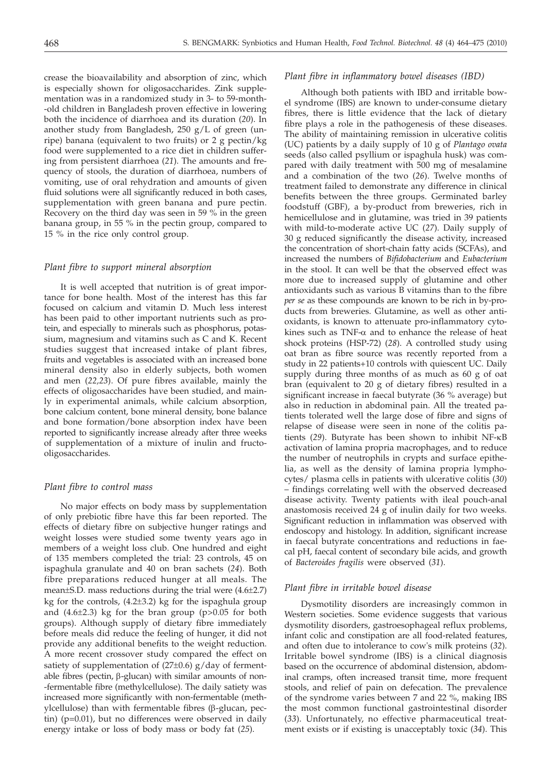crease the bioavailability and absorption of zinc, which is especially shown for oligosaccharides. Zink supplementation was in a randomized study in 3- to 59-month- -old children in Bangladesh proven effective in lowering both the incidence of diarrhoea and its duration (*20*). In another study from Bangladesh, 250 g/L of green (unripe) banana (equivalent to two fruits) or  $2g$  pectin/kg food were supplemented to a rice diet in children suffering from persistent diarrhoea (*21*). The amounts and frequency of stools, the duration of diarrhoea, numbers of vomiting, use of oral rehydration and amounts of given fluid solutions were all significantly reduced in both cases, supplementation with green banana and pure pectin. Recovery on the third day was seen in 59 % in the green banana group, in 55 % in the pectin group, compared to 15 % in the rice only control group.

# *Plant fibre to support mineral absorption*

It is well accepted that nutrition is of great importance for bone health. Most of the interest has this far focused on calcium and vitamin D. Much less interest has been paid to other important nutrients such as protein, and especially to minerals such as phosphorus, potassium, magnesium and vitamins such as C and K. Recent studies suggest that increased intake of plant fibres, fruits and vegetables is associated with an increased bone mineral density also in elderly subjects, both women and men (*22,23*). Of pure fibres available, mainly the effects of oligosaccharides have been studied, and mainly in experimental animals, while calcium absorption, bone calcium content, bone mineral density, bone balance and bone formation/bone absorption index have been reported to significantly increase already after three weeks of supplementation of a mixture of inulin and fructooligosaccharides.

# *Plant fibre to control mass*

No major effects on body mass by supplementation of only prebiotic fibre have this far been reported. The effects of dietary fibre on subjective hunger ratings and weight losses were studied some twenty years ago in members of a weight loss club. One hundred and eight of 135 members completed the trial: 23 controls, 45 on ispaghula granulate and 40 on bran sachets (*24*). Both fibre preparations reduced hunger at all meals. The mean±S.D. mass reductions during the trial were (4.6±2.7) kg for the controls,  $(4.2\pm3.2)$  kg for the ispaghula group and  $(4.6\pm2.3)$  kg for the bran group  $(p>0.05$  for both groups). Although supply of dietary fibre immediately before meals did reduce the feeling of hunger, it did not provide any additional benefits to the weight reduction. A more recent crossover study compared the effect on satiety of supplementation of  $(27\pm0.6)$  g/day of fermentable fibres (pectin,  $\beta$ -glucan) with similar amounts of non--fermentable fibre (methylcellulose). The daily satiety was increased more significantly with non-fermentable (methylcellulose) than with fermentable fibres ( $\beta$ -glucan, pectin) (p=0.01), but no differences were observed in daily energy intake or loss of body mass or body fat (*25*).

## *Plant fibre in inflammatory bowel diseases (IBD)*

Although both patients with IBD and irritable bowel syndrome (IBS) are known to under-consume dietary fibres, there is little evidence that the lack of dietary fibre plays a role in the pathogenesis of these diseases. The ability of maintaining remission in ulcerative colitis (UC) patients by a daily supply of 10 g of *Plantago ovata* seeds (also called psyllium or ispaghula husk) was compared with daily treatment with 500 mg of mesalamine and a combination of the two (*26*). Twelve months of treatment failed to demonstrate any difference in clinical benefits between the three groups. Germinated barley foodstuff (GBF), a by-product from breweries, rich in hemicellulose and in glutamine, was tried in 39 patients with mild-to-moderate active UC (*27*). Daily supply of 30 g reduced significantly the disease activity, increased the concentration of short-chain fatty acids (SCFAs), and increased the numbers of *Bifidobacterium* and *Eubacterium* in the stool. It can well be that the observed effect was more due to increased supply of glutamine and other antioxidants such as various B vitamins than to the fibre *per se* as these compounds are known to be rich in by-products from breweries. Glutamine, as well as other antioxidants, is known to attenuate pro-inflammatory cytokines such as  $TNF-\alpha$  and to enhance the release of heat shock proteins (HSP-72) (*28*). A controlled study using oat bran as fibre source was recently reported from a study in 22 patients+10 controls with quiescent UC. Daily supply during three months of as much as 60 g of oat bran (equivalent to 20 g of dietary fibres) resulted in a significant increase in faecal butyrate (36 % average) but also in reduction in abdominal pain. All the treated patients tolerated well the large dose of fibre and signs of relapse of disease were seen in none of the colitis patients (*29*). Butyrate has been shown to inhibit NF-k<sup>B</sup> activation of lamina propria macrophages, and to reduce the number of neutrophils in crypts and surface epithelia, as well as the density of lamina propria lymphocytes/ plasma cells in patients with ulcerative colitis (*30*) – findings correlating well with the observed decreased disease activity. Twenty patients with ileal pouch-anal anastomosis received 24 g of inulin daily for two weeks. Significant reduction in inflammation was observed with endoscopy and histology. In addition, significant increase in faecal butyrate concentrations and reductions in faecal pH, faecal content of secondary bile acids, and growth of *Bacteroides fragilis* were observed (*31*).

## *Plant fibre in irritable bowel disease*

Dysmotility disorders are increasingly common in Western societies. Some evidence suggests that various dysmotility disorders, gastroesophageal reflux problems, infant colic and constipation are all food-related features, and often due to intolerance to cow's milk proteins (*32*). Irritable bowel syndrome (IBS) is a clinical diagnosis based on the occurrence of abdominal distension, abdominal cramps, often increased transit time, more frequent stools, and relief of pain on defecation. The prevalence of the syndrome varies between 7 and 22 %, making IBS the most common functional gastrointestinal disorder (*33*). Unfortunately, no effective pharmaceutical treatment exists or if existing is unacceptably toxic (*34*). This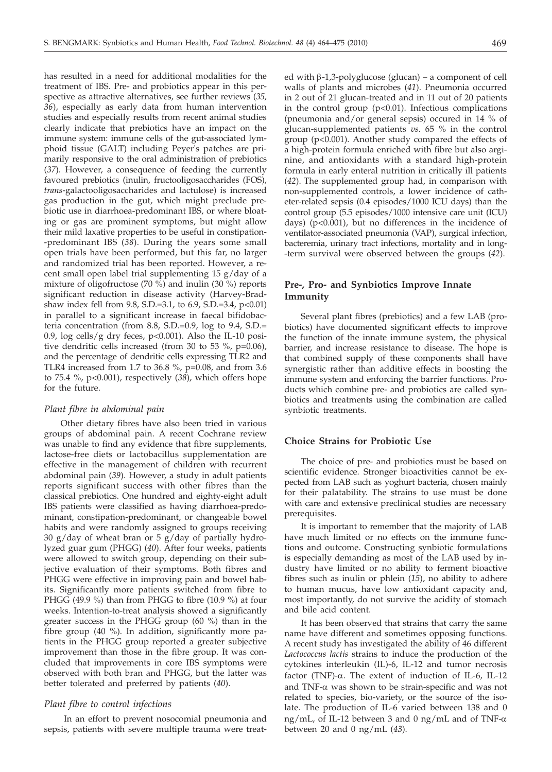has resulted in a need for additional modalities for the treatment of IBS. Pre- and probiotics appear in this perspective as attractive alternatives, see further reviews (*35, 36*), especially as early data from human intervention studies and especially results from recent animal studies clearly indicate that prebiotics have an impact on the immune system: immune cells of the gut-associated lymphoid tissue (GALT) including Peyer's patches are primarily responsive to the oral administration of prebiotics (*37*). However, a consequence of feeding the currently favoured prebiotics (inulin, fructooligosaccharides (FOS), *trans*-galactooligosaccharides and lactulose) is increased gas production in the gut, which might preclude prebiotic use in diarrhoea-predominant IBS, or where bloating or gas are prominent symptoms, but might allow their mild laxative properties to be useful in constipation- -predominant IBS (*38*). During the years some small open trials have been performed, but this far, no larger and randomized trial has been reported. However, a recent small open label trial supplementing 15 g/day of a mixture of oligofructose (70 %) and inulin (30 %) reports significant reduction in disease activity (Harvey-Bradshaw index fell from 9.8, S.D.=3.1, to 6.9, S.D.=3.4, p<0.01) in parallel to a significant increase in faecal bifidobacteria concentration (from 8.8, S.D.=0.9, log to 9.4, S.D.= 0.9,  $\log$  cells/g dry feces, p<0.001). Also the IL-10 positive dendritic cells increased (from 30 to 53 %, p=0.06), and the percentage of dendritic cells expressing TLR2 and TLR4 increased from 1.7 to 36.8 %, p=0.08, and from 3.6 to 75.4 %, p<0.001), respectively (*38*), which offers hope for the future.

# *Plant fibre in abdominal pain*

Other dietary fibres have also been tried in various groups of abdominal pain. A recent Cochrane review was unable to find any evidence that fibre supplements, lactose-free diets or lactobacillus supplementation are effective in the management of children with recurrent abdominal pain (*39*). However, a study in adult patients reports significant success with other fibres than the classical prebiotics. One hundred and eighty-eight adult IBS patients were classified as having diarrhoea-predominant, constipation-predominant, or changeable bowel habits and were randomly assigned to groups receiving 30 g/day of wheat bran or 5 g/day of partially hydrolyzed guar gum (PHGG) (*40*). After four weeks, patients were allowed to switch group, depending on their subjective evaluation of their symptoms. Both fibres and PHGG were effective in improving pain and bowel habits. Significantly more patients switched from fibre to PHGG (49.9 %) than from PHGG to fibre (10.9 %) at four weeks. Intention-to-treat analysis showed a significantly greater success in the PHGG group (60 %) than in the fibre group (40 %). In addition, significantly more patients in the PHGG group reported a greater subjective improvement than those in the fibre group. It was concluded that improvements in core IBS symptoms were observed with both bran and PHGG, but the latter was better tolerated and preferred by patients (*40*).

# *Plant fibre to control infections*

In an effort to prevent nosocomial pneumonia and sepsis, patients with severe multiple trauma were treat-

ed with  $\beta$ -1,3-polyglucose (glucan) – a component of cell walls of plants and microbes (*41*). Pneumonia occurred in 2 out of 21 glucan-treated and in 11 out of 20 patients in the control group  $(p<0.01)$ . Infectious complications (pneumonia and/or general sepsis) occured in 14 % of glucan-supplemented patients *vs.* 65 % in the control group (p<0.001). Another study compared the effects of a high-protein formula enriched with fibre but also arginine, and antioxidants with a standard high-protein formula in early enteral nutrition in critically ill patients (*42*). The supplemented group had, in comparison with non-supplemented controls, a lower incidence of catheter-related sepsis (0.4 episodes/1000 ICU days) than the control group (5.5 episodes/1000 intensive care unit (ICU) days) (p<0.001), but no differences in the incidence of ventilator-associated pneumonia (VAP), surgical infection, bacteremia, urinary tract infections, mortality and in long- -term survival were observed between the groups (*42*).

# **Pre-, Pro- and Synbiotics Improve Innate Immunity**

Several plant fibres (prebiotics) and a few LAB (probiotics) have documented significant effects to improve the function of the innate immune system, the physical barrier, and increase resistance to disease. The hope is that combined supply of these components shall have synergistic rather than additive effects in boosting the immune system and enforcing the barrier functions. Products which combine pre- and probiotics are called synbiotics and treatments using the combination are called synbiotic treatments.

# **Choice Strains for Probiotic Use**

The choice of pre- and probiotics must be based on scientific evidence. Stronger bioactivities cannot be expected from LAB such as yoghurt bacteria, chosen mainly for their palatability. The strains to use must be done with care and extensive preclinical studies are necessary prerequisites.

It is important to remember that the majority of LAB have much limited or no effects on the immune functions and outcome. Constructing synbiotic formulations is especially demanding as most of the LAB used by industry have limited or no ability to ferment bioactive fibres such as inulin or phlein (*15*), no ability to adhere to human mucus, have low antioxidant capacity and, most importantly, do not survive the acidity of stomach and bile acid content.

It has been observed that strains that carry the same name have different and sometimes opposing functions. A recent study has investigated the ability of 46 different *Lactococcus lactis* strains to induce the production of the cytokines interleukin (IL)-6, IL-12 and tumor necrosis factor (TNF)- $\alpha$ . The extent of induction of IL-6, IL-12 and TNF- $\alpha$  was shown to be strain-specific and was not related to species, bio-variety, or the source of the isolate. The production of IL-6 varied between 138 and 0 ng/mL, of IL-12 between 3 and 0 ng/mL and of TNF- $\alpha$ between 20 and 0 ng/mL (*43*).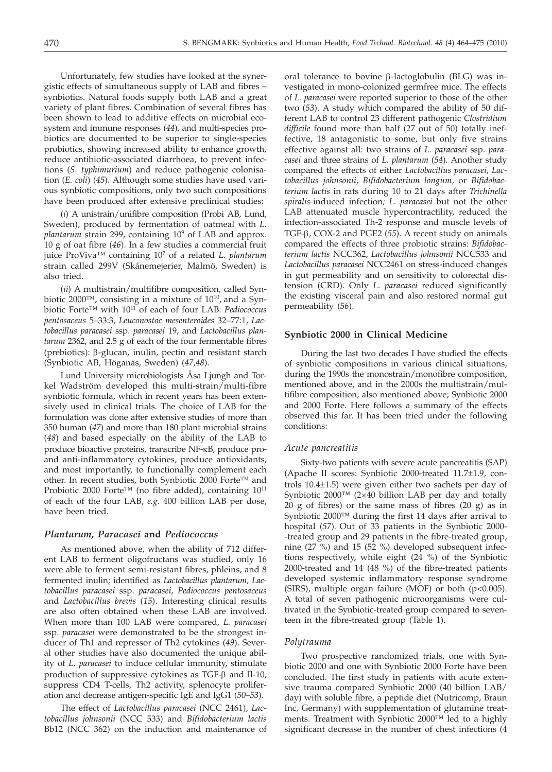Unfortunately, few studies have looked at the synergistic effects of simultaneous supply of LAB and fibres – synbiotics. Natural foods supply both LAB and a great variety of plant fibres. Combination of several fibres has been shown to lead to additive effects on microbial ecosystem and immune responses (*44*), and multi-species probiotics are documented to be superior to single-species probiotics, showing increased ability to enhance growth, reduce antibiotic-associated diarrhoea, to prevent infections (*S. typhimurium*) and reduce pathogenic colonisation (*E. coli*) (*45*). Although some studies have used various synbiotic compositions, only two such compositions have been produced after extensive preclinical studies:

(*i*) A unistrain/unifibre composition (Probi AB, Lund, Sweden), produced by fermentation of oatmeal with *L. plantarum* strain 299, containing 109 of LAB and approx. 10 g of oat fibre (*46*). In a few studies a commercial fruit juice ProViva™ containing 107 of a related *L. plantarum* strain called 299V (Skånemejerier, Malmö, Sweden) is also tried.

(*ii*) A multistrain/multifibre composition*,* called Synbiotic 2000™, consisting in a mixture of 10<sup>10</sup>, and a Synbiotic Forte™ with 1011 of each of four LAB: *Pediococcus pentosaceus* 5–33:3, *Leuconostoc mesenteroides* 32–77:1, *Lactobacillus paracasei* ssp. *paracasei* 19, and *Lactobacillus plantarum* 2362, and 2.5 g of each of the four fermentable fibres (prebiotics): b-glucan, inulin, pectin and resistant starch (Synbiotic AB, Höganäs, Sweden) (*47,48*).

Lund University microbiologists Åsa Ljungh and Torkel Wadström developed this multi-strain/multi-fibre synbiotic formula, which in recent years has been extensively used in clinical trials. The choice of LAB for the formulation was done after extensive studies of more than 350 human (*47*) and more than 180 plant microbial strains (*48*) and based especially on the ability of the LAB to produce bioactive proteins, transcribe NF-kB, produce proand anti-inflammatory cytokines, produce antioxidants, and most importantly, to functionally complement each other. In recent studies, both Synbiotic 2000 Forte™ and Probiotic 2000 Forte<sup>™</sup> (no fibre added), containing  $10^{11}$ of each of the four LAB, *e.g.* 400 billion LAB per dose, have been tried.

### *Plantarum, Paracasei* **and** *Pediococcus*

As mentioned above, when the ability of 712 different LAB to ferment oligofructans was studied, only 16 were able to ferment semi-resistant fibres, phleins, and 8 fermented inulin; identified as *Lactobacillus plantarum, Lactobacillus paracasei* ssp. *paracasei*, *Pediococcus pentosaceus* and *Lactobacillus brevis* (*15*). Interesting clinical results are also often obtained when these LAB are involved. When more than 100 LAB were compared, *L. paracasei* ssp. *paracasei* were demonstrated to be the strongest inducer of Th1 and repressor of Th2 cytokines (*49*). Several other studies have also documented the unique ability of *L. paracasei* to induce cellular immunity, stimulate production of suppressive cytokines as TGF- $\beta$  and Il-10, suppress CD4 T-cells, Th2 activity, splenocyte proliferation and decrease antigen-specific IgE and IgG1 (*50–53*).

The effect of *Lactobacillus paracasei* (NCC 2461), *Lactobacillus johnsonii* (NCC 533) and *Bifidobacterium lactis* Bb12 (NCC 362) on the induction and maintenance of

oral tolerance to bovine  $\beta$ -lactoglobulin (BLG) was investigated in mono-colonized germfree mice. The effects of *L. paracasei* were reported superior to those of the other two (*53*). A study which compared the ability of 50 different LAB to control 23 different pathogenic *Clostridium difficile* found more than half (27 out of 50) totally ineffective, 18 antagonistic to some, but only five strains effective against all: two strains of *L. paracasei* ssp. *paracasei* and three strains of *L. plantarum* (*54*)*.* Another study compared the effects of either *Lactobacillus paracasei*, *Lactobacillus johnsonii*, *Bifidobacterium longum*, or *Bifidobacterium lactis* in rats during 10 to 21 days after *Trichinella spiralis-*induced infection*; L. paracasei* but not the other LAB attenuated muscle hypercontractility, reduced the infection-associated Th-2 response and muscle levels of TGF-b, COX-2 and PGE2 (*55*). A recent study on animals compared the effects of three probiotic strains: *Bifidobacterium lactis* NCC362, *Lactobacillus johnsonii* NCC533 and *Lactobacillus paracasei* NCC2461 on stress-induced changes in gut permeability and on sensitivity to colorectal distension (CRD). Only *L. paracasei* reduced significantly the existing visceral pain and also restored normal gut permeability (*56*).

# **Synbiotic 2000 in Clinical Medicine**

During the last two decades I have studied the effects of synbiotic compositions in various clinical situations, during the 1990s the monostrain/monofibre composition, mentioned above, and in the 2000s the multistrain/multifibre composition, also mentioned above; Synbiotic 2000 and 2000 Forte. Here follows a summary of the effects observed this far. It has been tried under the following conditions:

## *Acute pancreatitis*

Sixty-two patients with severe acute pancreatitis (SAP) (Apache II scores: Synbiotic 2000-treated 11.7±1.9, controls 10.4±1.5) were given either two sachets per day of Synbiotic 2000*™* (2×40 billion LAB per day and totally 20 g of fibres) or the same mass of fibres (20 g) as in Synbiotic 2000*™* during the first 14 days after arrival to hospital (*57*)*.* Out of 33 patients in the Synbiotic 2000- -treated group and 29 patients in the fibre-treated group, nine (27 %) and 15 (52 %) developed subsequent infections respectively, while eight (24 %) of the Synbiotic 2000-treated and 14 (48 %) of the fibre-treated patients developed systemic inflammatory response syndrome (SIRS), multiple organ failure (MOF) or both (p<0.005). A total of seven pathogenic microorganisms were cultivated in the Synbiotic-treated group compared to seventeen in the fibre-treated group (Table 1).

# *Polytrauma*

Two prospective randomized trials, one with Synbiotic 2000 and one with Synbiotic 2000 Forte have been concluded. The first study in patients with acute extensive trauma compared Synbiotic 2000 (40 billion LAB/ day) with soluble fibre, a peptide diet (Nutricomp, Braun Inc, Germany) with supplementation of glutamine treatments. Treatment with Synbiotic 2000™ led to a highly significant decrease in the number of chest infections (4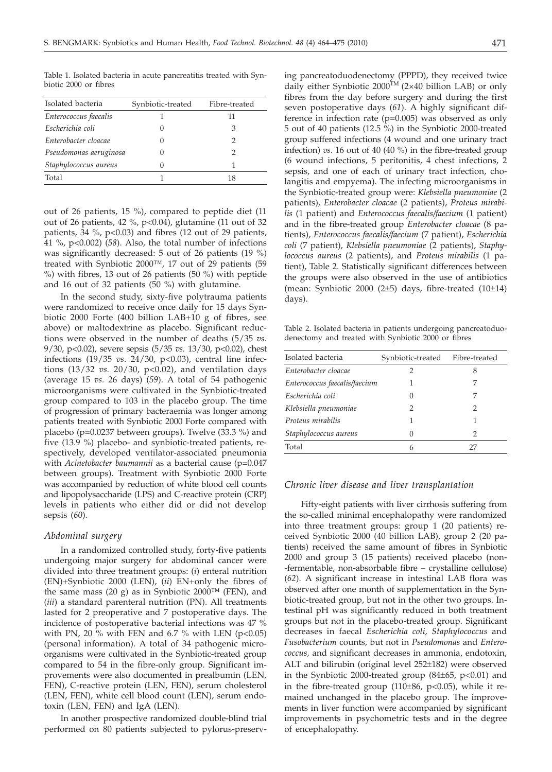Isolated bacteria Synbiotic-treated Fibre-treated *Enterococcus faecalis* 1 11 *Escherichia coli* 0 3 *Enterobacter cloacae* 0 2 *Pseudomonas aeruginosa* 0 2 *Staphylococcus aureus* 0 1 Total  $1$  18

Table 1. Isolated bacteria in acute pancreatitis treated with Synbiotic 2000 or fibres

out of 26 patients, 15 %), compared to peptide diet (11 out of 26 patients, 42 %, p<0.04), glutamine (11 out of 32 patients, 34 %,  $p<0.03$ ) and fibres (12 out of 29 patients, 41 %, p<0.002) (*58*). Also, the total number of infections was significantly decreased: 5 out of 26 patients (19 %) treated with Synbiotic 2000™, 17 out of 29 patients (59 %) with fibres, 13 out of 26 patients (50 %) with peptide and 16 out of 32 patients (50 %) with glutamine.

In the second study, sixty-five polytrauma patients were randomized to receive once daily for 15 days Synbiotic 2000 Forte (400 billion LAB+10 g of fibres, see above) or maltodextrine as placebo. Significant reductions were observed in the number of deaths (5/35 *vs*. 9/30, p<0.02), severe sepsis (5/35 *vs.* 13/30, p<0.02), chest infections (19/35 *vs*. 24/30, p<0.03), central line infections (13/32 *vs.* 20/30, p<0.02), and ventilation days (average 15 *vs.* 26 days) (*59*). A total of 54 pathogenic microorganisms were cultivated in the Synbiotic-treated group compared to 103 in the placebo group. The time of progression of primary bacteraemia was longer among patients treated with Synbiotic 2000 Forte compared with placebo (p=0.0237 between groups). Twelve (33.3 %) and five (13.9 %) placebo- and synbiotic-treated patients, respectively, developed ventilator-associated pneumonia with *Acinetobacter baumannii* as a bacterial cause (p*=*0.047 between groups). Treatment with Synbiotic 2000 Forte was accompanied by reduction of white blood cell counts and lipopolysaccharide (LPS) and C-reactive protein (CRP) levels in patients who either did or did not develop sepsis (*60*).

# *Abdominal surgery*

In a randomized controlled study, forty-five patients undergoing major surgery for abdominal cancer were divided into three treatment groups: (*i*) enteral nutrition (EN)+Synbiotic 2000 (LEN), (*ii*) EN+only the fibres of the same mass (20 g) as in Synbiotic 2000*™* (FEN), and (*iii*) a standard parenteral nutrition (PN). All treatments lasted for 2 preoperative and 7 postoperative days. The incidence of postoperative bacterial infections was 47 % with PN, 20  $\%$  with FEN and 6.7  $\%$  with LEN (p<0.05) (personal information). A total of 34 pathogenic microorganisms were cultivated in the Synbiotic-treated group compared to 54 in the fibre-only group. Significant improvements were also documented in prealbumin (LEN, FEN), C-reactive protein (LEN, FEN), serum cholesterol (LEN, FEN), white cell blood count (LEN), serum endotoxin (LEN, FEN) and IgA (LEN).

In another prospective randomized double-blind trial performed on 80 patients subjected to pylorus-preserv-

ing pancreatoduodenectomy (PPPD), they received twice daily either Synbiotic  $2000^{TM}$  (2×40 billion LAB) or only fibres from the day before surgery and during the first seven postoperative days (*61*). A highly significant difference in infection rate (p=0.005) was observed as only 5 out of 40 patients (12.5 %) in the Synbiotic 2000-treated group suffered infections (4 wound and one urinary tract infection) *vs.* 16 out of 40 (40 %) in the fibre-treated group (6 wound infections, 5 peritonitis, 4 chest infections, 2 sepsis, and one of each of urinary tract infection, cholangitis and empyema). The infecting microorganisms in the Synbiotic-treated group were: *Klebsiella pneumoniae* (2 patients), *Enterobacter cloacae* (2 patients), *Proteus mirabilis* (1 patient) and *Enterococcus faecalis/faecium* (1 patient) and in the fibre-treated group *Enterobacter cloacae* (8 patients), *Enterococcus faecalis/faecium* (7 patient), *Escherichia coli* (7 patient), *Klebsiella pneumoniae* (2 patients), *Staphylococcus aureus* (2 patients), and *Proteus mirabilis* (1 patient), Table 2. Statistically significant differences between the groups were also observed in the use of antibiotics (mean: Synbiotic 2000 (2 $\pm$ 5) days, fibre-treated (10 $\pm$ 14) days).

Table 2. Isolated bacteria in patients undergoing pancreatoduodenectomy and treated with Synbiotic 2000 or fibres

| Isolated bacteria             | Synbiotic-treated | Fibre-treated |
|-------------------------------|-------------------|---------------|
| Enterobacter cloacae          | 2                 | 8             |
| Enterococcus faecalis/faecium |                   | 7             |
| Escherichia coli              | 0                 | 7             |
| Klebsiella pneumoniae         |                   | 2             |
| Proteus mirabilis             |                   |               |
| Staphylococcus aureus         | 0                 | 2             |
| Total                         | 6                 |               |
|                               |                   |               |

### *Chronic liver disease and liver transplantation*

Fifty-eight patients with liver cirrhosis suffering from the so-called minimal encephalopathy were randomized into three treatment groups: group 1 (20 patients) received Synbiotic 2000 (40 billion LAB), group 2 (20 patients) received the same amount of fibres in Synbiotic 2000 and group 3 (15 patients) received placebo (non- -fermentable, non-absorbable fibre – crystalline cellulose) (*62*). A significant increase in intestinal LAB flora was observed after one month of supplementation in the Synbiotic-treated group, but not in the other two groups. Intestinal pH was significantly reduced in both treatment groups but not in the placebo-treated group. Significant decreases in faecal *Escherichia coli, Staphylococcus* and *Fusobacterium* counts*,* but not in *Pseudomonas* and *Enterococcus,* and significant decreases in ammonia, endotoxin, ALT and bilirubin (original level 252±182) were observed in the Synbiotic 2000-treated group  $(84±65, p<0.01)$  and in the fibre-treated group  $(110\pm86, p<0.05)$ , while it remained unchanged in the placebo group. The improvements in liver function were accompanied by significant improvements in psychometric tests and in the degree of encephalopathy.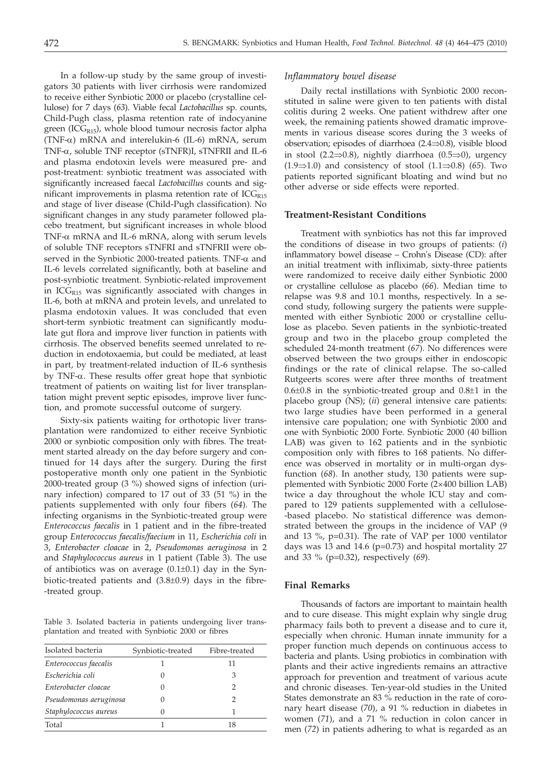In a follow-up study by the same group of investigators 30 patients with liver cirrhosis were randomized to receive either Synbiotic 2000 or placebo (crystalline cellulose) for 7 days (*63*). Viable fecal *Lactobacillus* sp. counts, Child-Pugh class, plasma retention rate of indocyanine green (ICG $_{R15}$ ), whole blood tumour necrosis factor alpha (TNF- $\alpha$ ) mRNA and interelukin-6 (IL-6) mRNA, serum TNF-a, soluble TNF receptor (sTNFR)I, sTNFRII and IL-6 and plasma endotoxin levels were measured pre- and post-treatment: synbiotic treatment was associated with significantly increased faecal *Lactobacillus* counts and significant improvements in plasma retention rate of  $ICG<sub>R15</sub>$ and stage of liver disease (Child-Pugh classification). No significant changes in any study parameter followed placebo treatment, but significant increases in whole blood TNF- $\alpha$  mRNA and IL-6 mRNA, along with serum levels of soluble TNF receptors sTNFRI and sTNFRII were observed in the Synbiotic 2000-treated patients. TNF- $\alpha$  and IL-6 levels correlated significantly, both at baseline and post-synbiotic treatment. Synbiotic-related improvement in ICG<sub>R15</sub> was significantly associated with changes in IL-6, both at mRNA and protein levels, and unrelated to plasma endotoxin values. It was concluded that even short-term synbiotic treatment can significantly modulate gut flora and improve liver function in patients with cirrhosis. The observed benefits seemed unrelated to reduction in endotoxaemia, but could be mediated, at least in part, by treatment-related induction of IL-6 synthesis by TNF-a. These results offer great hope that synbiotic treatment of patients on waiting list for liver transplantation might prevent septic episodes, improve liver function, and promote successful outcome of surgery.

Sixty-six patients waiting for orthotopic liver transplantation were randomized to either receive Synbiotic 2000 or synbiotic composition only with fibres. The treatment started already on the day before surgery and continued for 14 days after the surgery. During the first postoperative month only one patient in the Synbiotic 2000-treated group (3 %) showed signs of infection (urinary infection) compared to 17 out of 33 (51 %) in the patients supplemented with only four fibers (*64*). The infecting organisms in the Synbiotic-treated group were *Enterococcus faecalis* in 1 patient and in the fibre-treated group *Enterococcus faecalis/faecium* in 11, *Escherichia coli* in 3, *Enterobacter cloacae* in 2, *Pseudomonas aeruginosa* in 2 and *Staphylococcus aureus* in 1 patient (Table 3). The use of antibiotics was on average  $(0.1\pm0.1)$  day in the Synbiotic-treated patients and (3.8±0.9) days in the fibre- -treated group.

Table 3. Isolated bacteria in patients undergoing liver transplantation and treated with Synbiotic 2000 or fibres

| Isolated bacteria      | Synbiotic-treated | Fibre-treated |
|------------------------|-------------------|---------------|
| Enterococcus faecalis  |                   | 11            |
| Escherichia coli       |                   | 3             |
| Enterobacter cloacae   |                   | 2             |
| Pseudomonas aeruginosa |                   | 2             |
| Staphylococcus aureus  | $\left( \right)$  |               |
| Total                  |                   | 18            |

## *Inflammatory bowel disease*

Daily rectal instillations with Synbiotic 2000 reconstituted in saline were given to ten patients with distal colitis during 2 weeks. One patient withdrew after one week, the remaining patients showed dramatic improvements in various disease scores during the 3 weeks of observation; episodes of diarrhoea  $(2.4 \Rightarrow 0.8)$ , visible blood in stool (2.2 $\Rightarrow$ 0.8), nightly diarrhoea (0.5 $\Rightarrow$ 0), urgency  $(1.9 \Rightarrow 1.0)$  and consistency of stool  $(1.1 \Rightarrow 0.8)$  (65). Two patients reported significant bloating and wind but no other adverse or side effects were reported.

## **Treatment-Resistant Conditions**

Treatment with synbiotics has not this far improved the conditions of disease in two groups of patients: (*i*) inflammatory bowel disease – Crohn's Disease (CD): after an initial treatment with infliximab, sixty-three patients were randomized to receive daily either Synbiotic 2000 or crystalline cellulose as placebo (*66*). Median time to relapse was 9.8 and 10.1 months, respectively. In a second study, following surgery the patients were supplemented with either Synbiotic 2000 or crystalline cellulose as placebo. Seven patients in the synbiotic-treated group and two in the placebo group completed the scheduled 24-month treatment (*67*). No differences were observed between the two groups either in endoscopic findings or the rate of clinical relapse. The so-called Rutgeerts scores were after three months of treatment  $0.6\pm0.8$  in the synbiotic-treated group and  $0.8\pm1$  in the placebo group (NS); (*ii*) general intensive care patients: two large studies have been performed in a general intensive care population; one with Synbiotic 2000 and one with Synbiotic 2000 Forte. Synbiotic 2000 (40 billion LAB) was given to 162 patients and in the synbiotic composition only with fibres to 168 patients. No difference was observed in mortality or in multi-organ dysfunction (*68*). In another study, 130 patients were supplemented with Synbiotic 2000 Forte (2×400 billion LAB) twice a day throughout the whole ICU stay and compared to 129 patients supplemented with a cellulose- -based placebo. No statistical difference was demonstrated between the groups in the incidence of VAP (9 and 13 %, p=0.31). The rate of VAP per 1000 ventilator days was 13 and 14.6 ( $p=0.73$ ) and hospital mortality 27 and 33 % (p=0.32), respectively (*69*).

# **Final Remarks**

Thousands of factors are important to maintain health and to cure disease. This might explain why single drug pharmacy fails both to prevent a disease and to cure it, especially when chronic. Human innate immunity for a proper function much depends on continuous access to bacteria and plants. Using probiotics in combination with plants and their active ingredients remains an attractive approach for prevention and treatment of various acute and chronic diseases. Ten-year-old studies in the United States demonstrate an 83 % reduction in the rate of coronary heart disease (*70*), a 91 % reduction in diabetes in women (*71*), and a 71 % reduction in colon cancer in men (*72*) in patients adhering to what is regarded as an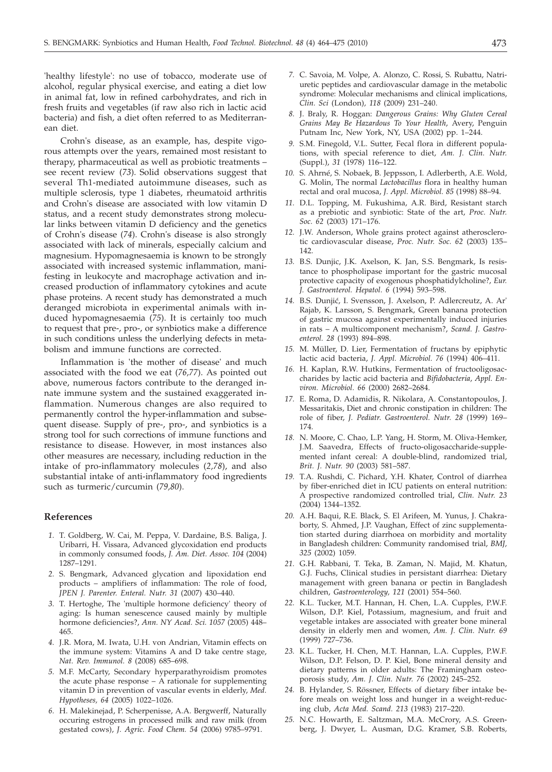'healthy lifestyle': no use of tobacco, moderate use of alcohol, regular physical exercise, and eating a diet low in animal fat, low in refined carbohydrates, and rich in fresh fruits and vegetables (if raw also rich in lactic acid bacteria) and fish, a diet often referred to as Mediterranean diet.

Crohn's disease, as an example, has, despite vigorous attempts over the years, remained most resistant to therapy, pharmaceutical as well as probiotic treatments – see recent review (*73*). Solid observations suggest that several Th1-mediated autoimmune diseases, such as multiple sclerosis, type 1 diabetes, rheumatoid arthritis and Crohn's disease are associated with low vitamin D status, and a recent study demonstrates strong molecular links between vitamin D deficiency and the genetics of Crohn's disease (*74*). Crohn's disease is also strongly associated with lack of minerals, especially calcium and magnesium. Hypomagnesaemia is known to be strongly associated with increased systemic inflammation, manifesting in leukocyte and macrophage activation and increased production of inflammatory cytokines and acute phase proteins. A recent study has demonstrated a much deranged microbiota in experimental animals with induced hypomagnesaemia (*75*). It is certainly too much to request that pre-, pro-, or synbiotics make a difference in such conditions unless the underlying defects in metabolism and immune functions are corrected.

Inflammation is 'the mother of disease' and much associated with the food we eat (*76,77*). As pointed out above, numerous factors contribute to the deranged innate immune system and the sustained exaggerated inflammation. Numerous changes are also required to permanently control the hyper-inflammation and subsequent disease. Supply of pre-, pro-, and synbiotics is a strong tool for such corrections of immune functions and resistance to disease. However, in most instances also other measures are necessary, including reduction in the intake of pro-inflammatory molecules (*2,78*), and also substantial intake of anti-inflammatory food ingredients such as turmeric/curcumin (*79,80*).

### **References**

- *1.* T. Goldberg, W. Cai, M. Peppa, V. Dardaine, B.S. Baliga, J. Uribarri, H. Vissara, Advanced glycoxidation end products in commonly consumed foods, *J. Am. Diet. Assoc. 104* (2004) 1287–1291.
- *2.* S. Bengmark, Advanced glycation and lipoxidation end products – amplifiers of inflammation: The role of food, *JPEN J. Parenter. Enteral. Nutr. 31* (2007) 430–440.
- *3.* T. Hertoghe, The 'multiple hormone deficiency' theory of aging: Is human senescence caused mainly by multiple hormone deficiencies?, *Ann. NY Acad. Sci. 1057* (2005) 448– 465.
- *4.* J.R. Mora, M. Iwata, U.H. von Andrian, Vitamin effects on the immune system: Vitamins A and D take centre stage, *Nat. Rev. Immunol. 8* (2008) 685–698.
- *5.* M.F. McCarty, Secondary hyperparathyroidism promotes the acute phase response – A rationale for supplementing vitamin D in prevention of vascular events in elderly, *Med. Hypotheses, 64* (2005) 1022–1026.
- *6.* H. Malekinejad, P. Scherpenisse, A.A. Bergwerff, Naturally occuring estrogens in processed milk and raw milk (from gestated cows), *J. Agric. Food Chem. 54* (2006) 9785–9791.
- *7.* C. Savoia, M. Volpe, A. Alonzo, C. Rossi, S. Rubattu, Natriuretic peptides and cardiovascular damage in the metabolic syndrome: Molecular mechanisms and clinical implications, *Clin. Sci* (London)*, 118* (2009) 231–240.
- *8.* J. Braly, R. Hoggan: *Dangerous Grains: Why Gluten Cereal Grains May Be Hazardous To Your Health*, Avery, Penguin Putnam Inc, New York, NY, USA (2002) pp. 1–244.
- *9.* S.M. Finegold, V.L. Sutter, Fecal flora in different populations, with special reference to diet, *Am. J. Clin. Nutr.* (Suppl.), *31* (1978) 116–122.
- *10.* S. Ahrné, S. Nobaek, B. Jeppsson, I. Adlerberth, A.E. Wold, G. Molin, The normal *Lactobacillus* flora in healthy human rectal and oral mucosa, *J. Appl. Microbiol. 85* (1998) 88–94.
- *11.* D.L. Topping, M. Fukushima, A.R. Bird, Resistant starch as a prebiotic and synbiotic: State of the art, *Proc. Nutr. Soc. 62* (2003) 171–176.
- *12.* J.W. Anderson, Whole grains protect against atherosclerotic cardiovascular disease, *Proc. Nutr. Soc. 62* (2003) 135– 142.
- *13.* B.S. Dunjic, J.K. Axelson, K. Jan, S.S. Bengmark, Is resistance to phospholipase important for the gastric mucosal protective capacity of exogenous phosphatidylcholine?, *Eur. J. Gastroenterol. Hepatol. 6* (1994) 593–598.
- 14. B.S. Dunjić, I. Svensson, J. Axelson, P. Adlercreutz, A. Ar' Rajab, K. Larsson, S. Bengmark, Green banana protection of gastric mucosa against experimentally induced injuries in rats – A multicomponent mechanism?, *Scand. J. Gastroenterol. 28* (1993) 894–898.
- *15.* M. Müller, D. Lier, Fermentation of fructans by epiphytic lactic acid bacteria, *J. Appl. Microbiol. 76* (1994) 406–411.
- *16.* H. Kaplan, R.W. Hutkins, Fermentation of fructooligosaccharides by lactic acid bacteria and *Bifidobacteria*, *Appl. Environ. Microbiol. 66* (2000) 2682–2684.
- *17.* E. Roma, D. Adamidis, R. Nikolara, A. Constantopoulos, J. Messaritakis, Diet and chronic constipation in children: The role of fiber, *J. Pediatr. Gastroenterol. Nutr. 28* (1999) 169– 174.
- *18.* N. Moore, C. Chao, L.P. Yang, H. Storm, M. Oliva-Hemker, J.M. Saavedra, Effects of fructo-oligosaccharide-supplemented infant cereal: A double-blind, randomized trial, *Brit. J. Nutr. 90* (2003) 581–587.
- *19.* T.A. Rushdi, C. Pichard, Y.H. Khater, Control of diarrhea by fiber-enriched diet in ICU patients on enteral nutrition: A prospective randomized controlled trial, *Clin. Nutr. 23* (2004) 1344–1352.
- *20.* A.H. Baqui, R.E. Black, S. El Arifeen, M. Yunus, J. Chakraborty, S. Ahmed, J.P. Vaughan, Effect of zinc supplementation started during diarrhoea on morbidity and mortality in Bangladesh children: Community randomised trial, *BMJ, 325* (2002) 1059.
- *21.* G.H. Rabbani, T. Teka, B. Zaman, N. Majid, M. Khatun, G.J. Fuchs, Clinical studies in persistant diarrhea: Dietary management with green banana or pectin in Bangladesh children, *Gastroenterology, 121* (2001) 554–560.
- *22.* K.L. Tucker, M.T. Hannan, H. Chen, L.A. Cupples, P.W.F. Wilson, D.P. Kiel, Potassium, magnesium, and fruit and vegetable intakes are associated with greater bone mineral density in elderly men and women, *Am. J. Clin. Nutr. 69* (1999) 727–736.
- *23.* K.L. Tucker, H. Chen, M.T. Hannan, L.A. Cupples, P.W.F. Wilson, D.P. Felson, D. P. Kiel, Bone mineral density and dietary patterns in older adults: The Framingham osteoporosis study, *Am. J. Clin. Nutr. 76* (2002) 245–252.
- *24.* B. Hylander, S. Rössner, Effects of dietary fiber intake before meals on weight loss and hunger in a weight-reducing club, *Acta Med. Scand. 213* (1983) 217–220.
- *25.* N.C. Howarth, E. Saltzman, M.A. McCrory, A.S. Greenberg, J. Dwyer, L. Ausman, D.G. Kramer, S.B. Roberts*,*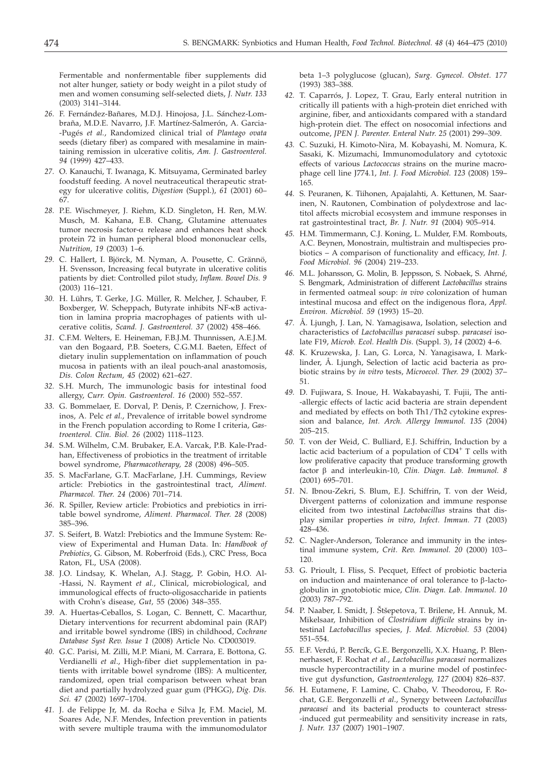Fermentable and nonfermentable fiber supplements did not alter hunger, satiety or body weight in a pilot study of men and women consuming self-selected diets, *J. Nutr. 133* (2003) 3141–3144.

- *26.* F. Fernández-Bañares, M.D.J. Hinojosa, J.L. Sánchez-Lombraña, M.D.E. Navarro, J.F. Martínez-Salmerón, A. Garcia- -Pugés *et al.*, Randomized clinical trial of *Plantago ovata* seeds (dietary fiber) as compared with mesalamine in maintaining remission in ulcerative colitis, *Am. J. Gastroenterol. 94* (1999) 427–433.
- *27.* O. Kanauchi, T. Iwanaga, K. Mitsuyama, Germinated barley foodstuff feeding. A novel neutraceutical therapeutic strategy for ulcerative colitis, *Digestion* (Suppl.), *61* (2001) 60– 67.
- *28.* P.E. Wischmeyer, J. Riehm, K.D. Singleton, H. Ren, M.W. Musch, M. Kahana, E.B. Chang, Glutamine attenuates tumor necrosis factor-a release and enhances heat shock protein 72 in human peripheral blood mononuclear cells, *Nutrition, 19* (2003) 1–6.
- *29.* C. Hallert, I. Björck, M. Nyman, A. Pousette, C. Grännö, H. Svensson, Increasing fecal butyrate in ulcerative colitis patients by diet: Controlled pilot study, *Inflam. Bowel Dis. 9* (2003) 116–121.
- *30.* H. Lührs, T. Gerke, J.G. Müller, R. Melcher, J. Schauber, F. Boxberger, W. Scheppach, Butyrate inhibits NF-kB activation in lamina propria macrophages of patients with ulcerative colitis, *Scand. J. Gastroenterol. 37* (2002) 458–466.
- *31.* C.F.M. Welters, E. Heineman, F.B.J.M. Thunnissen, A.E.J.M. van den Bogaard, P.B. Soeters, C.G.M.I. Baeten, Effect of dietary inulin supplementation on inflammation of pouch mucosa in patients with an ileal pouch-anal anastomosis, *Dis. Colon Rectum, 45* (2002) 621–627.
- *32.* S.H. Murch, The immunologic basis for intestinal food allergy, *Curr. Opin. Gastroenterol. 16* (2000) 552–557.
- *33.* G. Bommelaer, E. Dorval, P. Denis, P. Czernichow, J. Frexinos, A. Pelc *et al.*, Prevalence of irritable bowel syndrome in the French population according to Rome I criteria, *Gastroenterol. Clin. Biol. 26* (2002) 1118–1123.
- *34.* S.M. Wilhelm, C.M. Brubaker, E.A. Varcak, P.B. Kale-Pradhan, Effectiveness of probiotics in the treatment of irritable bowel syndrome, *Pharmacotherapy, 28* (2008) 496–505.
- *35.* S. MacFarlane, G.T. MacFarlane, J.H. Cummings, Review article: Prebiotics in the gastrointestinal tract, *Aliment. Pharmacol. Ther. 24* (2006) 701–714.
- *36.* R. Spiller, Review article: Probiotics and prebiotics in irritable bowel syndrome, *Aliment. Pharmacol. Ther. 28* (2008) 385–396.
- *37.* S. Seifert, B. Watzl: Prebiotics and the Immune System: Review of Experimental and Human Data. In: *Handbook of Prebiotics*, G. Gibson, M. Roberfroid (Eds.), CRC Press, Boca Raton, FL, USA (2008).
- *38.* J.O. Lindsay, K. Whelan, A.J. Stagg, P. Gobin, H.O. Al- -Hassi, N. Rayment *et al.*, Clinical, microbiological, and immunological effects of fructo-oligosaccharide in patients with Crohn's disease, *Gut,* 55 (2006) 348–355.
- *39.* A. Huertas-Ceballos, S. Logan, C. Bennett, C. Macarthur, Dietary interventions for recurrent abdominal pain (RAP) and irritable bowel syndrome (IBS) in childhood, *Cochrane Database Syst Rev. Issue 1* (2008) Article No. CD003019.
- *40.* G.C. Parisi, M. Zilli, M.P. Miani, M. Carrara, E. Bottona, G. Verdianelli *et al*., High-fiber diet supplementation in patients with irritable bowel syndrome (IBS): A multicenter, randomized, open trial comparison between wheat bran diet and partially hydrolyzed guar gum (PHGG), *Dig. Dis. Sci. 47* (2002) 1697–1704.
- *41.* J. de Felippe Jr, M. da Rocha e Silva Jr, F.M. Maciel, M. Soares Ade, N.F. Mendes, Infection prevention in patients with severe multiple trauma with the immunomodulator

beta 1–3 polyglucose (glucan), *Surg. Gynecol. Obstet. 177* (1993) 383–388.

- *42.* T. Caparrós, J. Lopez, T. Grau, Early enteral nutrition in critically ill patients with a high-protein diet enriched with arginine, fiber, and antioxidants compared with a standard high-protein diet. The effect on nosocomial infections and outcome, *JPEN J. Parenter. Enteral Nutr. 25* (2001) 299–309.
- *43.* C. Suzuki, H. Kimoto-Nira, M. Kobayashi, M. Nomura, K. Sasaki, K. Mizumachi, Immunomodulatory and cytotoxic effects of various *Lactococcus* strains on the murine macrophage cell line J774.1, *Int. J. Food Microbiol. 123* (2008) 159– 165.
- *44.* S. Peuranen, K. Tiihonen, Apajalahti, A. Kettunen, M. Saarinen, N. Rautonen, Combination of polydextrose and lactitol affects microbial ecosystem and immune responses in rat gastrointestinal tract, *Br. J. Nutr. 91* (2004) 905–914.
- *45.* H.M. Timmermann, C.J. Koning, L. Mulder, F.M. Rombouts, A.C. Beynen, Monostrain, multistrain and multispecies probiotics – A comparison of functionality and efficacy, *Int. J. Food Microbiol. 96* (2004) 219–233.
- *46.* M.L. Johansson, G. Molin, B. Jeppsson, S. Nobaek, S. Ahrné, S. Bengmark, Administration of different *Lactobacillus* strains in fermented oatmeal soup: *in vivo* colonization of human intestinal mucosa and effect on the indigenous flora, *Appl. Environ. Microbiol. 59* (1993) 15–20.
- *47.* Å. Ljungh, J. Lan, N. Yamagisawa, Isolation, selection and characteristics of *Lactobacillus paracasei* subsp. *paracasei* isolate F19, *Microb. Ecol. Health Dis.* (Suppl. 3), *14* (2002) 4–6.
- *48.* K. Kruzewska, J. Lan, G. Lorca, N. Yanagisawa, I. Marklinder, Å. Ljungh, Selection of lactic acid bacteria as probiotic strains by *in vitro* tests, *Microecol. Ther. 29* (2002) 37– 51.
- *49.* D. Fujiwara, S. Inoue, H. Wakabayashi, T. Fujii, The anti- -allergic effects of lactic acid bacteria are strain dependent and mediated by effects on both Th1/Th2 cytokine expression and balance, *Int. Arch. Allergy Immunol. 135* (2004) 205–215.
- *50.* T. von der Weid, C. Bulliard, E.J. Schiffrin, Induction by a lactic acid bacterium of a population of CD4<sup>+</sup> T cells with low proliferative capacity that produce transforming growth factor  $\beta$  and interleukin-10, *Clin. Diagn. Lab. Immunol. 8* (2001) 695–701.
- *51.* N. Ibnou-Zekri, S. Blum, E.J. Schiffrin, T. von der Weid, Divergent patterns of colonization and immune response elicited from two intestinal *Lactobacillus* strains that display similar properties *in vitro*, *Infect. Immun. 71* (2003) 428–436.
- *52.* C. Nagler-Anderson, Tolerance and immunity in the intestinal immune system, *Crit. Rev. Immunol. 20* (2000) 103– 120.
- *53.* G. Prioult, I. Fliss, S. Pecquet, Effect of probiotic bacteria on induction and maintenance of oral tolerance to  $\beta$ -lactoglobulin in gnotobiotic mice, *Clin. Diagn. Lab. Immunol. 10* (2003) 787–792.
- 54. P. Naaber, I. Smidt, J. Štšepetova, T. Brilene, H. Annuk, M. Mikelsaar, Inhibition of *Clostridium difficile* strains by intestinal *Lactobacillus* species, *J. Med. Microbiol. 53* (2004) 551–554.
- *55.* E.F. Verdú, P. Bercík, G.E. Bergonzelli, X.X. Huang, P. Blennerhasset, F. Rochat *et al.*, *Lactobacillus paracasei* normalizes muscle hypercontractility in a murine model of postinfective gut dysfunction, *Gastroenterology, 127* (2004) 826–837.
- *56.* H. Eutamene, F. Lamine, C. Chabo, V. Theodorou, F. Rochat, G.E. Bergonzelli *et al*., Synergy between *Lactobacillus paracasei* and its bacterial products to counteract stress- -induced gut permeability and sensitivity increase in rats, *J. Nutr. 137* (2007) 1901–1907.